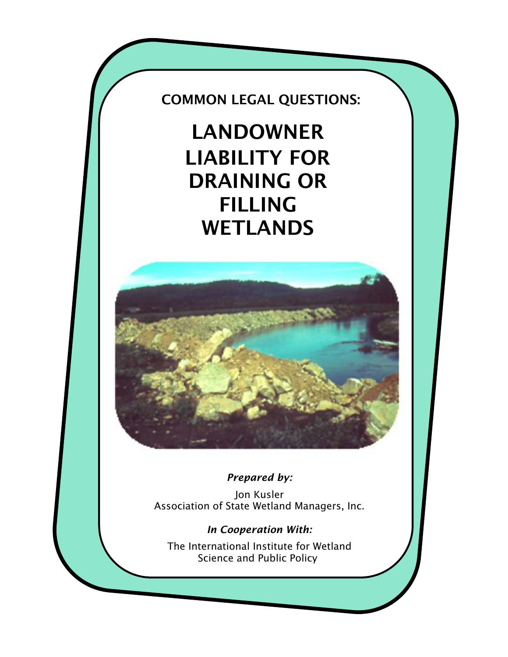COMMON LEGAL QUESTIONS:

LANDOWNER LIABILITY FOR DRAINING OR FILLING WETLANDS



# *Prepared by:*

Jon Kusler Association of State Wetland Managers, Inc.

*In Cooperation With:* 

The International Institute for Wetland Science and Public Policy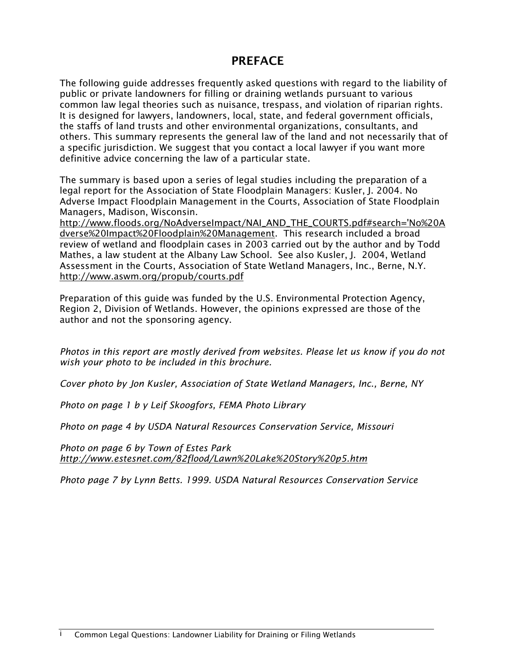# PREFACE

The following guide addresses frequently asked questions with regard to the liability of public or private landowners for filling or draining wetlands pursuant to various common law legal theories such as nuisance, trespass, and violation of riparian rights. It is designed for lawyers, landowners, local, state, and federal government officials, the staffs of land trusts and other environmental organizations, consultants, and others. This summary represents the general law of the land and not necessarily that of a specific jurisdiction. We suggest that you contact a local lawyer if you want more definitive advice concerning the law of a particular state.

The summary is based upon a series of legal studies including the preparation of a legal report for the Association of State Floodplain Managers: Kusler, J. 2004. No Adverse Impact Floodplain Management in the Courts, Association of State Floodplain Managers, Madison, Wisconsin.

http://www.floods.org/NoAdverseImpact/NAI\_AND\_THE\_COURTS.pdf#search='No%20A dverse%20Impact%20Floodplain%20Management. This research included a broad review of wetland and floodplain cases in 2003 carried out by the author and by Todd Mathes, a law student at the Albany Law School. See also Kusler, J. 2004, Wetland Assessment in the Courts, Association of State Wetland Managers, Inc., Berne, N.Y. http://www.aswm.org/propub/courts.pdf

Preparation of this guide was funded by the U.S. Environmental Protection Agency, Region 2, Division of Wetlands. However, the opinions expressed are those of the author and not the sponsoring agency.

*Photos in this report are mostly derived from websites. Please let us know if you do not wish your photo to be included in this brochure.* 

*Cover photo by Jon Kusler, Association of State Wetland Managers, Inc., Berne, NY* 

*Photo on page 1 b y Leif Skoogfors, FEMA Photo Library* 

*Photo on page 4 by USDA Natural Resources Conservation Service, Missouri* 

*Photo on page 6 by Town of Estes Park http://www.estesnet.com/82flood/Lawn%20Lake%20Story%20p5.htm* 

*Photo page 7 by Lynn Betts. 1999. USDA Natural Resources Conservation Service*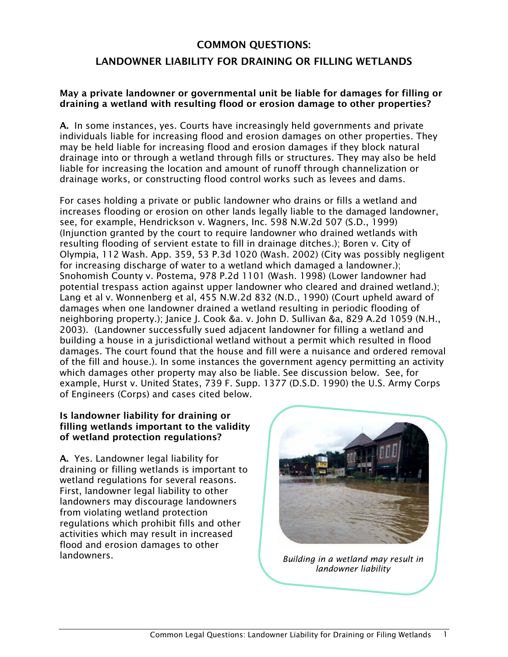# COMMON QUESTIONS:

# LANDOWNER LIABILITY FOR DRAINING OR FILLING WETLANDS

#### May a private landowner or governmental unit be liable for damages for filling or draining a wetland with resulting flood or erosion damage to other properties?

A. In some instances, yes. Courts have increasingly held governments and private individuals liable for increasing flood and erosion damages on other properties. They may be held liable for increasing flood and erosion damages if they block natural drainage into or through a wetland through fills or structures. They may also be held liable for increasing the location and amount of runoff through channelization or drainage works, or constructing flood control works such as levees and dams.

For cases holding a private or public landowner who drains or fills a wetland and increases flooding or erosion on other lands legally liable to the damaged landowner, see, for example, Hendrickson v. Wagners, Inc. 598 N.W.2d 507 (S.D., 1999) (Injunction granted by the court to require landowner who drained wetlands with resulting flooding of servient estate to fill in drainage ditches.); Boren v. City of Olympia, 112 Wash. App. 359, 53 P.3d 1020 (Wash. 2002) (City was possibly negligent for increasing discharge of water to a wetland which damaged a landowner.); Snohomish County v. Postema, 978 P.2d 1101 (Wash. 1998) (Lower landowner had potential trespass action against upper landowner who cleared and drained wetland.); Lang et al v. Wonnenberg et al, 455 N.W.2d 832 (N.D., 1990) (Court upheld award of damages when one landowner drained a wetland resulting in periodic flooding of neighboring property.); Janice J. Cook &a. v. John D. Sullivan &a, 829 A.2d 1059 (N.H., 2003). (Landowner successfully sued adjacent landowner for filling a wetland and building a house in a jurisdictional wetland without a permit which resulted in flood damages. The court found that the house and fill were a nuisance and ordered removal of the fill and house.). In some instances the government agency permitting an activity which damages other property may also be liable. See discussion below. See, for example, Hurst v. United States, 739 F. Supp. 1377 (D.S.D. 1990) the U.S. Army Corps of Engineers (Corps) and cases cited below.

# Is landowner liability for draining or filling wetlands important to the validity of wetland protection regulations?

A. Yes. Landowner legal liability for draining or filling wetlands is important to wetland regulations for several reasons. First, landowner legal liability to other landowners may discourage landowners from violating wetland protection regulations which prohibit fills and other activities which may result in increased flood and erosion damages to other landowners.



*Building in a wetland may result in landowner liability*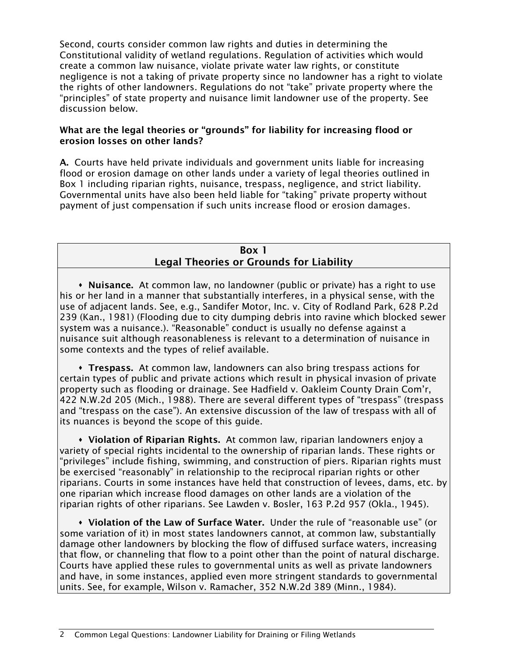Second, courts consider common law rights and duties in determining the Constitutional validity of wetland regulations. Regulation of activities which would create a common law nuisance, violate private water law rights, or constitute negligence is not a taking of private property since no landowner has a right to violate the rights of other landowners. Regulations do not "take" private property where the "principles" of state property and nuisance limit landowner use of the property. See discussion below.

## What are the legal theories or "grounds" for liability for increasing flood or erosion losses on other lands?

A. Courts have held private individuals and government units liable for increasing flood or erosion damage on other lands under a variety of legal theories outlined in Box 1 including riparian rights, nuisance, trespass, negligence, and strict liability. Governmental units have also been held liable for "taking" private property without payment of just compensation if such units increase flood or erosion damages.

# Box 1 Legal Theories or Grounds for Liability

• Nuisance. At common law, no landowner (public or private) has a right to use his or her land in a manner that substantially interferes, in a physical sense, with the use of adjacent lands. See, e.g., Sandifer Motor, Inc. v. City of Rodland Park, 628 P.2d 239 (Kan., 1981) (Flooding due to city dumping debris into ravine which blocked sewer system was a nuisance.). "Reasonable" conduct is usually no defense against a nuisance suit although reasonableness is relevant to a determination of nuisance in some contexts and the types of relief available.

 Trespass. At common law, landowners can also bring trespass actions for certain types of public and private actions which result in physical invasion of private property such as flooding or drainage. See Hadfield v. Oakleim County Drain Com'r, 422 N.W.2d 205 (Mich., 1988). There are several different types of "trespass" (trespass and "trespass on the case"). An extensive discussion of the law of trespass with all of its nuances is beyond the scope of this guide.

 Violation of Riparian Rights. At common law, riparian landowners enjoy a variety of special rights incidental to the ownership of riparian lands. These rights or "privileges" include fishing, swimming, and construction of piers. Riparian rights must be exercised "reasonably" in relationship to the reciprocal riparian rights or other riparians. Courts in some instances have held that construction of levees, dams, etc. by one riparian which increase flood damages on other lands are a violation of the riparian rights of other riparians. See Lawden v. Bosler, 163 P.2d 957 (Okla., 1945).

 Violation of the Law of Surface Water. Under the rule of "reasonable use" (or some variation of it) in most states landowners cannot, at common law, substantially damage other landowners by blocking the flow of diffused surface waters, increasing that flow, or channeling that flow to a point other than the point of natural discharge. Courts have applied these rules to governmental units as well as private landowners and have, in some instances, applied even more stringent standards to governmental units. See, for example, Wilson v. Ramacher, 352 N.W.2d 389 (Minn., 1984).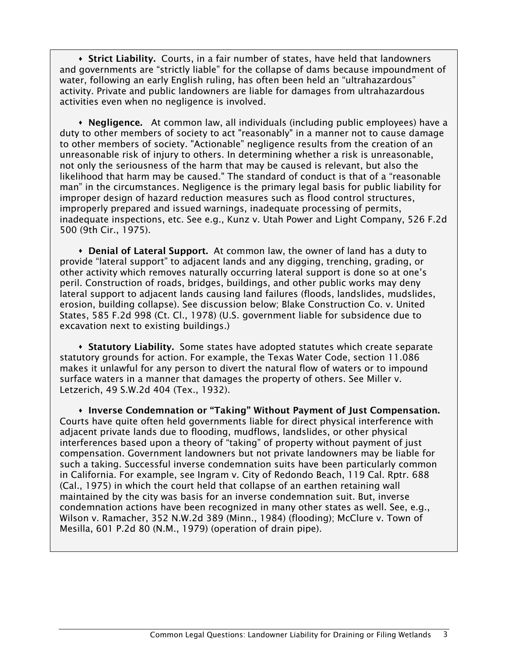**Strict Liability.** Courts, in a fair number of states, have held that landowners and governments are "strictly liable" for the collapse of dams because impoundment of water, following an early English ruling, has often been held an "ultrahazardous" activity. Private and public landowners are liable for damages from ultrahazardous activities even when no negligence is involved.

• Negligence. At common law, all individuals (including public employees) have a duty to other members of society to act "reasonably" in a manner not to cause damage to other members of society. "Actionable" negligence results from the creation of an unreasonable risk of injury to others. In determining whether a risk is unreasonable, not only the seriousness of the harm that may be caused is relevant, but also the likelihood that harm may be caused." The standard of conduct is that of a "reasonable man" in the circumstances. Negligence is the primary legal basis for public liability for improper design of hazard reduction measures such as flood control structures, improperly prepared and issued warnings, inadequate processing of permits, inadequate inspections, etc. See e.g., Kunz v. Utah Power and Light Company, 526 F.2d 500 (9th Cir., 1975).

 Denial of Lateral Support. At common law, the owner of land has a duty to provide "lateral support" to adjacent lands and any digging, trenching, grading, or other activity which removes naturally occurring lateral support is done so at one's peril. Construction of roads, bridges, buildings, and other public works may deny lateral support to adjacent lands causing land failures (floods, landslides, mudslides, erosion, building collapse). See discussion below; Blake Construction Co. v. United States, 585 F.2d 998 (Ct. Cl., 1978) (U.S. government liable for subsidence due to excavation next to existing buildings.)

**Statutory Liability.** Some states have adopted statutes which create separate statutory grounds for action. For example, the Texas Water Code, section 11.086 makes it unlawful for any person to divert the natural flow of waters or to impound surface waters in a manner that damages the property of others. See Miller v. Letzerich, 49 S.W.2d 404 (Tex., 1932).

**• Inverse Condemnation or "Taking" Without Payment of Just Compensation.** Courts have quite often held governments liable for direct physical interference with adjacent private lands due to flooding, mudflows, landslides, or other physical interferences based upon a theory of "taking" of property without payment of just compensation. Government landowners but not private landowners may be liable for such a taking. Successful inverse condemnation suits have been particularly common in California. For example, see Ingram v. City of Redondo Beach, 119 Cal. Rptr. 688 (Cal., 1975) in which the court held that collapse of an earthen retaining wall maintained by the city was basis for an inverse condemnation suit. But, inverse condemnation actions have been recognized in many other states as well. See, e.g., Wilson v. Ramacher, 352 N.W.2d 389 (Minn., 1984) (flooding); McClure v. Town of Mesilla, 601 P.2d 80 (N.M., 1979) (operation of drain pipe).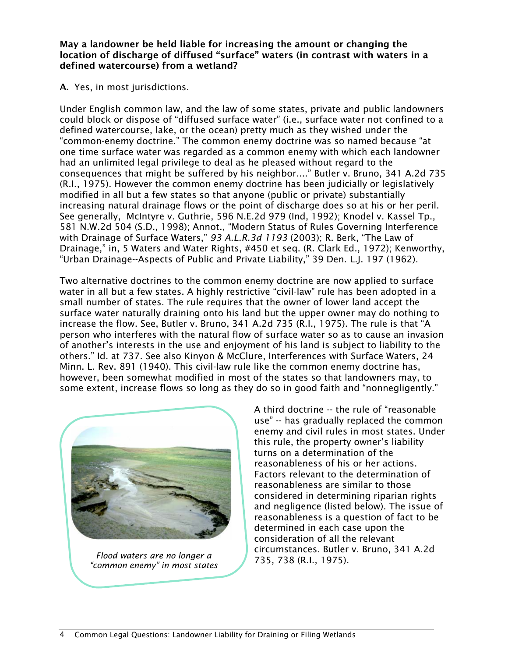May a landowner be held liable for increasing the amount or changing the location of discharge of diffused "surface" waters (in contrast with waters in a defined watercourse) from a wetland?

A. Yes, in most jurisdictions.

Under English common law, and the law of some states, private and public landowners could block or dispose of "diffused surface water" (i.e., surface water not confined to a defined watercourse, lake, or the ocean) pretty much as they wished under the "common-enemy doctrine." The common enemy doctrine was so named because "at one time surface water was regarded as a common enemy with which each landowner had an unlimited legal privilege to deal as he pleased without regard to the consequences that might be suffered by his neighbor...." Butler v. Bruno, 341 A.2d 735 (R.I., 1975). However the common enemy doctrine has been judicially or legislatively modified in all but a few states so that anyone (public or private) substantially increasing natural drainage flows or the point of discharge does so at his or her peril. See generally, McIntyre v. Guthrie, 596 N.E.2d 979 (Ind, 1992); Knodel v. Kassel Tp., 581 N.W.2d 504 (S.D., 1998); Annot., "Modern Status of Rules Governing Interference with Drainage of Surface Waters," *93 A.L.R.3d 1193* (2003); R. Berk, "The Law of Drainage," in, 5 Waters and Water Rights, #450 et seq. (R. Clark Ed., 1972); Kenworthy, "Urban Drainage--Aspects of Public and Private Liability," 39 Den. L.J. 197 (1962).

Two alternative doctrines to the common enemy doctrine are now applied to surface water in all but a few states. A highly restrictive "civil-law" rule has been adopted in a small number of states. The rule requires that the owner of lower land accept the surface water naturally draining onto his land but the upper owner may do nothing to increase the flow. See, Butler v. Bruno, 341 A.2d 735 (R.I., 1975). The rule is that "A person who interferes with the natural flow of surface water so as to cause an invasion of another's interests in the use and enjoyment of his land is subject to liability to the others." Id. at 737. See also Kinyon & McClure, Interferences with Surface Waters, 24 Minn. L. Rev. 891 (1940). This civil-law rule like the common enemy doctrine has, however, been somewhat modified in most of the states so that landowners may, to some extent, increase flows so long as they do so in good faith and "nonnegligently."



*Flood waters are no longer a "common enemy" in most states* 

A third doctrine -- the rule of "reasonable use" -- has gradually replaced the common enemy and civil rules in most states. Under this rule, the property owner's liability turns on a determination of the reasonableness of his or her actions. Factors relevant to the determination of reasonableness are similar to those considered in determining riparian rights and negligence (listed below). The issue of reasonableness is a question of fact to be determined in each case upon the consideration of all the relevant circumstances. Butler v. Bruno, 341 A.2d 735, 738 (R.I., 1975).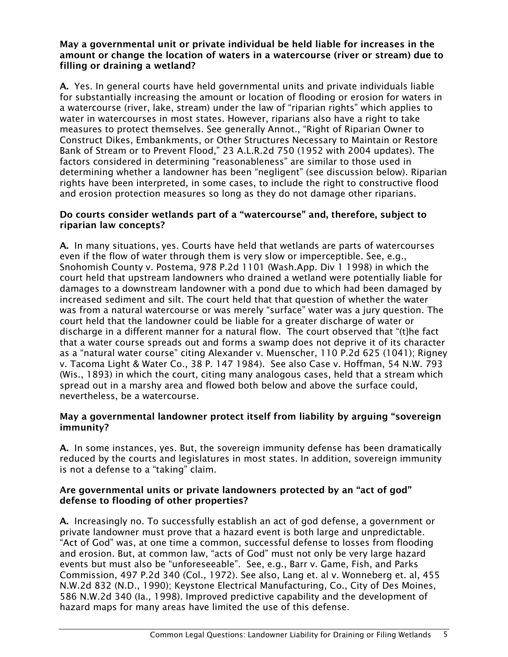#### May a governmental unit or private individual be held liable for increases in the amount or change the location of waters in a watercourse (river or stream) due to filling or draining a wetland?

A. Yes. In general courts have held governmental units and private individuals liable for substantially increasing the amount or location of flooding or erosion for waters in a watercourse (river, lake, stream) under the law of "riparian rights" which applies to water in watercourses in most states. However, riparians also have a right to take measures to protect themselves. See generally Annot., "Right of Riparian Owner to Construct Dikes, Embankments, or Other Structures Necessary to Maintain or Restore Bank of Stream or to Prevent Flood," 23 A.L.R.2d 750 (1952 with 2004 updates). The factors considered in determining "reasonableness" are similar to those used in determining whether a landowner has been "negligent" (see discussion below). Riparian rights have been interpreted, in some cases, to include the right to constructive flood and erosion protection measures so long as they do not damage other riparians.

## Do courts consider wetlands part of a "watercourse" and, therefore, subject to riparian law concepts?

A. In many situations, yes. Courts have held that wetlands are parts of watercourses even if the flow of water through them is very slow or imperceptible. See, e.g., Snohomish County v. Postema, 978 P.2d 1101 (Wash.App. Div 1 1998) in which the court held that upstream landowners who drained a wetland were potentially liable for damages to a downstream landowner with a pond due to which had been damaged by increased sediment and silt. The court held that that question of whether the water was from a natural watercourse or was merely "surface" water was a jury question. The court held that the landowner could be liable for a greater discharge of water or discharge in a different manner for a natural flow. The court observed that "(t}he fact that a water course spreads out and forms a swamp does not deprive it of its character as a "natural water course" citing Alexander v. Muenscher, 110 P.2d 625 (1041); Rigney v. Tacoma Light & Water Co., 38 P. 147 1984). See also Case v. Hoffman, 54 N.W. 793 (Wis., 1893) in which the court, citing many analogous cases, held that a stream which spread out in a marshy area and flowed both below and above the surface could, nevertheless, be a watercourse.

## May a governmental landowner protect itself from liability by arguing "sovereign immunity?

A. In some instances, yes. But, the sovereign immunity defense has been dramatically reduced by the courts and legislatures in most states. In addition, sovereign immunity is not a defense to a "taking" claim.

#### Are governmental units or private landowners protected by an "act of god" defense to flooding of other properties?

A. Increasingly no. To successfully establish an act of god defense, a government or private landowner must prove that a hazard event is both large and unpredictable. "Act of God" was, at one time a common, successful defense to losses from flooding and erosion. But, at common law, "acts of God" must not only be very large hazard events but must also be "unforeseeable". See, e.g., Barr v. Game, Fish, and Parks Commission, 497 P.2d 340 (Col., 1972). See also, Lang et. al v. Wonneberg et. al, 455 N.W.2d 832 (N.D., 1990); Keystone Electrical Manufacturing, Co., City of Des Moines, 586 N.W.2d 340 (Ia., 1998). Improved predictive capability and the development of hazard maps for many areas have limited the use of this defense.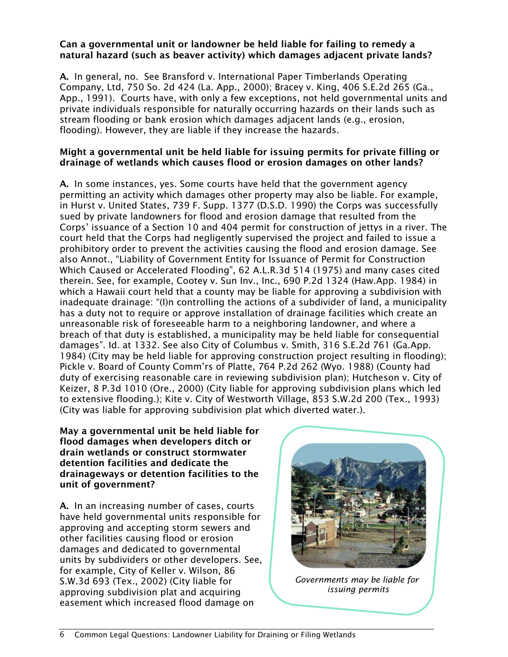#### Can a governmental unit or landowner be held liable for failing to remedy a natural hazard (such as beaver activity) which damages adjacent private lands?

A. In general, no. See Bransford v. International Paper Timberlands Operating Company, Ltd, 750 So. 2d 424 (La. App., 2000); Bracey v. King, 406 S.E.2d 265 (Ga., App., 1991). Courts have, with only a few exceptions, not held governmental units and private individuals responsible for naturally occurring hazards on their lands such as stream flooding or bank erosion which damages adjacent lands (e.g., erosion, flooding). However, they are liable if they increase the hazards.

## Might a governmental unit be held liable for issuing permits for private filling or drainage of wetlands which causes flood or erosion damages on other lands?

A. In some instances, yes. Some courts have held that the government agency permitting an activity which damages other property may also be liable. For example, in Hurst v. United States, 739 F. Supp. 1377 (D.S.D. 1990) the Corps was successfully sued by private landowners for flood and erosion damage that resulted from the Corps' issuance of a Section 10 and 404 permit for construction of jettys in a river. The court held that the Corps had negligently supervised the project and failed to issue a prohibitory order to prevent the activities causing the flood and erosion damage. See also Annot., "Liability of Government Entity for Issuance of Permit for Construction Which Caused or Accelerated Flooding", 62 A.L.R.3d 514 (1975) and many cases cited therein. See, for example, Cootey v. Sun Inv., Inc., 690 P.2d 1324 (Haw.App. 1984) in which a Hawaii court held that a county may be liable for approving a subdivision with inadequate drainage: "(I)n controlling the actions of a subdivider of land, a municipality has a duty not to require or approve installation of drainage facilities which create an unreasonable risk of foreseeable harm to a neighboring landowner, and where a breach of that duty is established, a municipality may be held liable for consequential damages". Id. at 1332. See also City of Columbus v. Smith, 316 S.E.2d 761 (Ga.App. 1984) (City may be held liable for approving construction project resulting in flooding); Pickle v. Board of County Comm'rs of Platte, 764 P.2d 262 (Wyo. 1988) (County had duty of exercising reasonable care in reviewing subdivision plan); Hutcheson v. City of Keizer, 8 P.3d 1010 (Ore., 2000) (City liable for approving subdivision plans which led to extensive flooding.); Kite v. City of Westworth Village, 853 S.W.2d 200 (Tex., 1993) (City was liable for approving subdivision plat which diverted water.).

May a governmental unit be held liable for flood damages when developers ditch or drain wetlands or construct stormwater detention facilities and dedicate the drainageways or detention facilities to the unit of government?

A. In an increasing number of cases, courts have held governmental units responsible for approving and accepting storm sewers and other facilities causing flood or erosion damages and dedicated to governmental units by subdividers or other developers. See, for example, City of Keller v. Wilson, 86 S.W.3d 693 (Tex., 2002) (City liable for approving subdivision plat and acquiring easement which increased flood damage on



*Governments may be liable for issuing permits*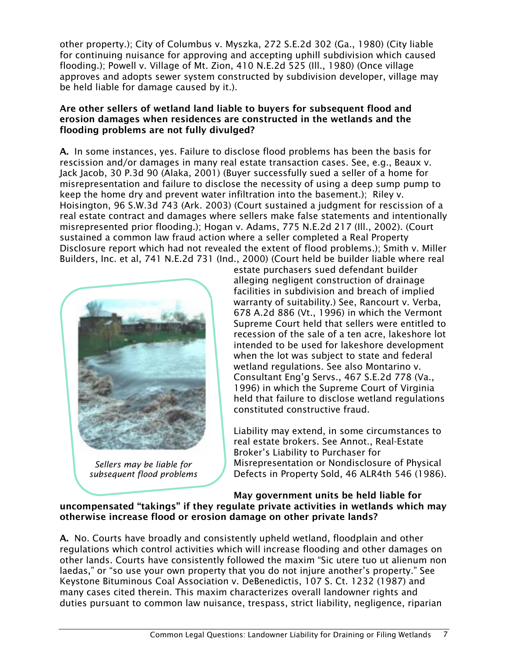other property.); City of Columbus v. Myszka, 272 S.E.2d 302 (Ga., 1980) (City liable for continuing nuisance for approving and accepting uphill subdivision which caused flooding.); Powell v. Village of Mt. Zion, 410 N.E.2d 525 (Ill., 1980) (Once village approves and adopts sewer system constructed by subdivision developer, village may be held liable for damage caused by it.).

#### Are other sellers of wetland land liable to buyers for subsequent flood and erosion damages when residences are constructed in the wetlands and the flooding problems are not fully divulged?

A. In some instances, yes. Failure to disclose flood problems has been the basis for rescission and/or damages in many real estate transaction cases. See, e.g., Beaux v. Jack Jacob, 30 P.3d 90 (Alaka, 2001) (Buyer successfully sued a seller of a home for misrepresentation and failure to disclose the necessity of using a deep sump pump to keep the home dry and prevent water infiltration into the basement.); Riley v. Hoisington, 96 S.W.3d 743 (Ark. 2003) (Court sustained a judgment for rescission of a real estate contract and damages where sellers make false statements and intentionally misrepresented prior flooding.); Hogan v. Adams, 775 N.E.2d 217 (Ill., 2002). (Court sustained a common law fraud action where a seller completed a Real Property Disclosure report which had not revealed the extent of flood problems.); Smith v. Miller Builders, Inc. et al, 741 N.E.2d 731 (Ind., 2000) (Court held be builder liable where real



*Sellers may be liable for subsequent flood problems* 

estate purchasers sued defendant builder alleging negligent construction of drainage facilities in subdivision and breach of implied warranty of suitability.) See, Rancourt v. Verba, 678 A.2d 886 (Vt., 1996) in which the Vermont Supreme Court held that sellers were entitled to recession of the sale of a ten acre, lakeshore lot intended to be used for lakeshore development when the lot was subject to state and federal wetland regulations. See also Montarino v. Consultant Eng'g Servs., 467 S.E.2d 778 (Va., 1996) in which the Supreme Court of Virginia held that failure to disclose wetland regulations constituted constructive fraud.

Liability may extend, in some circumstances to real estate brokers. See Annot., Real-Estate Broker's Liability to Purchaser for Misrepresentation or Nondisclosure of Physical Defects in Property Sold, 46 ALR4th 546 (1986).

#### May government units be held liable for uncompensated "takings" if they regulate private activities in wetlands which may otherwise increase flood or erosion damage on other private lands?

A. No. Courts have broadly and consistently upheld wetland, floodplain and other regulations which control activities which will increase flooding and other damages on other lands. Courts have consistently followed the maxim "Sic utere tuo ut alienum non laedas," or "so use your own property that you do not injure another's property." See Keystone Bituminous Coal Association v. DeBenedictis, 107 S. Ct. 1232 (1987) and many cases cited therein. This maxim characterizes overall landowner rights and duties pursuant to common law nuisance, trespass, strict liability, negligence, riparian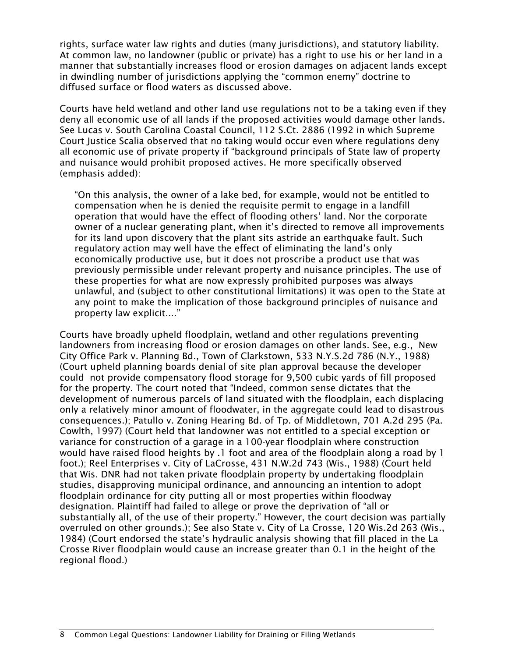rights, surface water law rights and duties (many jurisdictions), and statutory liability. At common law, no landowner (public or private) has a right to use his or her land in a manner that substantially increases flood or erosion damages on adjacent lands except in dwindling number of jurisdictions applying the "common enemy" doctrine to diffused surface or flood waters as discussed above.

Courts have held wetland and other land use regulations not to be a taking even if they deny all economic use of all lands if the proposed activities would damage other lands. See Lucas v. South Carolina Coastal Council, 112 S.Ct. 2886 (1992 in which Supreme Court Justice Scalia observed that no taking would occur even where regulations deny all economic use of private property if "background principals of State law of property and nuisance would prohibit proposed actives. He more specifically observed (emphasis added):

"On this analysis, the owner of a lake bed, for example, would not be entitled to compensation when he is denied the requisite permit to engage in a landfill operation that would have the effect of flooding others' land. Nor the corporate owner of a nuclear generating plant, when it's directed to remove all improvements for its land upon discovery that the plant sits astride an earthquake fault. Such regulatory action may well have the effect of eliminating the land's only economically productive use, but it does not proscribe a product use that was previously permissible under relevant property and nuisance principles. The use of these properties for what are now expressly prohibited purposes was always unlawful, and (subject to other constitutional limitations) it was open to the State at any point to make the implication of those background principles of nuisance and property law explicit...."

Courts have broadly upheld floodplain, wetland and other regulations preventing landowners from increasing flood or erosion damages on other lands. See, e.g., New City Office Park v. Planning Bd., Town of Clarkstown, 533 N.Y.S.2d 786 (N.Y., 1988) (Court upheld planning boards denial of site plan approval because the developer could not provide compensatory flood storage for 9,500 cubic yards of fill proposed for the property. The court noted that "Indeed, common sense dictates that the development of numerous parcels of land situated with the floodplain, each displacing only a relatively minor amount of floodwater, in the aggregate could lead to disastrous consequences.); Patullo v. Zoning Hearing Bd. of Tp. of Middletown, 701 A.2d 295 (Pa. Cowlth, 1997) (Court held that landowner was not entitled to a special exception or variance for construction of a garage in a 100-year floodplain where construction would have raised flood heights by .1 foot and area of the floodplain along a road by 1 foot.); Reel Enterprises v. City of LaCrosse, 431 N.W.2d 743 (Wis., 1988) (Court held that Wis. DNR had not taken private floodplain property by undertaking floodplain studies, disapproving municipal ordinance, and announcing an intention to adopt floodplain ordinance for city putting all or most properties within floodway designation. Plaintiff had failed to allege or prove the deprivation of "all or substantially all, of the use of their property." However, the court decision was partially overruled on other grounds.); See also State v. City of La Crosse, 120 Wis.2d 263 (Wis., 1984) (Court endorsed the state's hydraulic analysis showing that fill placed in the La Crosse River floodplain would cause an increase greater than 0.1 in the height of the regional flood.)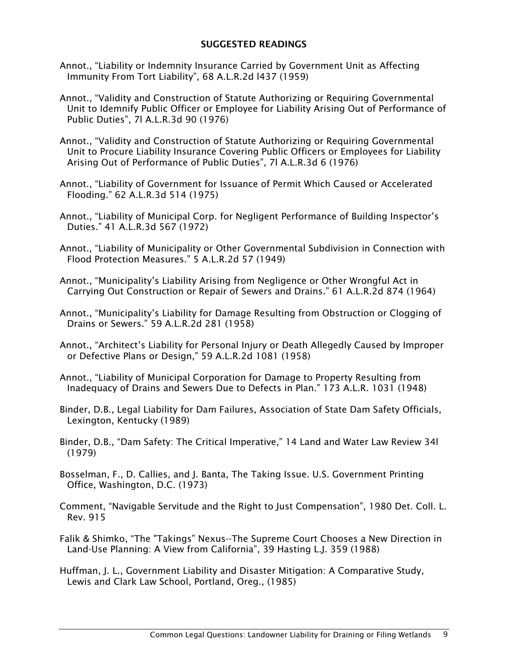#### SUGGESTED READINGS

- Annot., "Liability or Indemnity Insurance Carried by Government Unit as Affecting Immunity From Tort Liability", 68 A.L.R.2d l437 (1959)
- Annot., "Validity and Construction of Statute Authorizing or Requiring Governmental Unit to Idemnify Public Officer or Employee for Liability Arising Out of Performance of Public Duties", 7l A.L.R.3d 90 (1976)
- Annot., "Validity and Construction of Statute Authorizing or Requiring Governmental Unit to Procure Liability Insurance Covering Public Officers or Employees for Liability Arising Out of Performance of Public Duties", 7l A.L.R.3d 6 (1976)
- Annot., "Liability of Government for Issuance of Permit Which Caused or Accelerated Flooding." 62 A.L.R.3d 514 (1975)
- Annot., "Liability of Municipal Corp. for Negligent Performance of Building Inspector's Duties." 41 A.L.R.3d 567 (1972)
- Annot., "Liability of Municipality or Other Governmental Subdivision in Connection with Flood Protection Measures." 5 A.L.R.2d 57 (1949)
- Annot., "Municipality's Liability Arising from Negligence or Other Wrongful Act in Carrying Out Construction or Repair of Sewers and Drains." 61 A.L.R.2d 874 (1964)
- Annot., "Municipality's Liability for Damage Resulting from Obstruction or Clogging of Drains or Sewers." 59 A.L.R.2d 281 (1958)
- Annot., "Architect's Liability for Personal Injury or Death Allegedly Caused by Improper or Defective Plans or Design," 59 A.L.R.2d 1081 (1958)
- Annot., "Liability of Municipal Corporation for Damage to Property Resulting from Inadequacy of Drains and Sewers Due to Defects in Plan." 173 A.L.R. 1031 (1948)
- Binder, D.B., Legal Liability for Dam Failures, Association of State Dam Safety Officials, Lexington, Kentucky (1989)
- Binder, D.B., "Dam Safety: The Critical Imperative," 14 Land and Water Law Review 34l (1979)
- Bosselman, F., D. Callies, and J. Banta, The Taking Issue. U.S. Government Printing Office, Washington, D.C. (1973)
- Comment, "Navigable Servitude and the Right to Just Compensation", 1980 Det. Coll. L. Rev. 915

Falik & Shimko, "The "Takings" Nexus--The Supreme Court Chooses a New Direction in Land-Use Planning: A View from California", 39 Hasting L.J. 359 (1988)

Huffman, J. L., Government Liability and Disaster Mitigation: A Comparative Study, Lewis and Clark Law School, Portland, Oreg., (1985)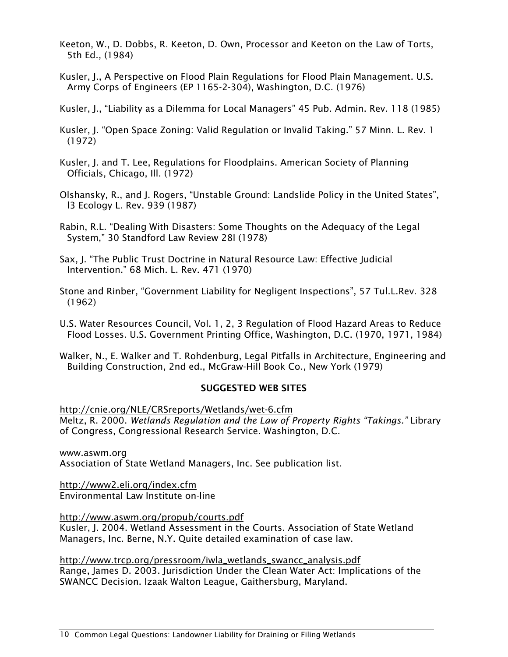Keeton, W., D. Dobbs, R. Keeton, D. Own, Processor and Keeton on the Law of Torts, 5th Ed., (1984)

Kusler, J., A Perspective on Flood Plain Regulations for Flood Plain Management. U.S. Army Corps of Engineers (EP 1165-2-304), Washington, D.C. (1976)

Kusler, J., "Liability as a Dilemma for Local Managers" 45 Pub. Admin. Rev. 118 (1985)

Kusler, J. "Open Space Zoning: Valid Regulation or Invalid Taking." 57 Minn. L. Rev. 1 (1972)

Kusler, J. and T. Lee, Regulations for Floodplains. American Society of Planning Officials, Chicago, Ill. (1972)

Olshansky, R., and J. Rogers, "Unstable Ground: Landslide Policy in the United States", l3 Ecology L. Rev. 939 (1987)

Rabin, R.L. "Dealing With Disasters: Some Thoughts on the Adequacy of the Legal System," 30 Standford Law Review 28l (1978)

Sax, J. "The Public Trust Doctrine in Natural Resource Law: Effective Judicial Intervention." 68 Mich. L. Rev. 471 (1970)

Stone and Rinber, "Government Liability for Negligent Inspections", 57 Tul.L.Rev. 328 (1962)

U.S. Water Resources Council, Vol. 1, 2, 3 Regulation of Flood Hazard Areas to Reduce Flood Losses. U.S. Government Printing Office, Washington, D.C. (1970, 1971, 1984)

Walker, N., E. Walker and T. Rohdenburg, Legal Pitfalls in Architecture, Engineering and Building Construction, 2nd ed., McGraw-Hill Book Co., New York (1979)

# SUGGESTED WEB SITES

http://cnie.org/NLE/CRSreports/Wetlands/wet-6.cfm Meltz, R. 2000. *Wetlands Regulation and the Law of Property Rights "Takings."* Library of Congress, Congressional Research Service. Washington, D.C.

www.aswm.org Association of State Wetland Managers, Inc. See publication list.

http://www2.eli.org/index.cfm Environmental Law Institute on-line

http://www.aswm.org/propub/courts.pdf

Kusler, J. 2004. Wetland Assessment in the Courts. Association of State Wetland Managers, Inc. Berne, N.Y. Quite detailed examination of case law.

http://www.trcp.org/pressroom/iwla\_wetlands\_swancc\_analysis.pdf Range, James D. 2003. Jurisdiction Under the Clean Water Act: Implications of the SWANCC Decision. Izaak Walton League, Gaithersburg, Maryland.